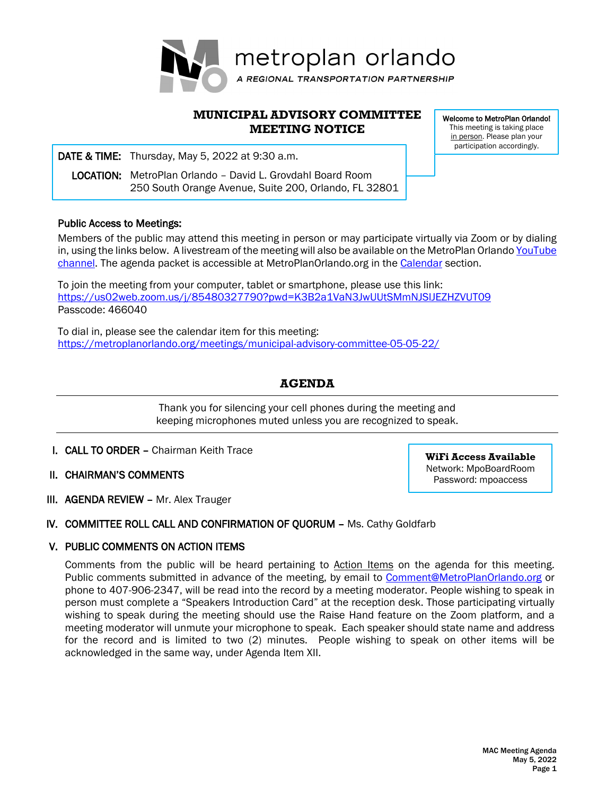

# **MUNICIPAL ADVISORY COMMITTEE MEETING NOTICE**

i DATE & TIME: Thursday, May 5, 2022 at 9:30 a.m.

 LOCATION: MetroPlan Orlando – David L. Grovdahl Board Room 250 South Orange Avenue, Suite 200, Orlando, FL 32801

Public Access to Meetings:

Members of the public may attend this meeting in person or may participate virtually via Zoom or by dialing in, using the links below. A livestream of the meeting will also be available on the MetroPlan Orlando YouTube [channel.](https://www.youtube.com/channel/UCpvVb2j0vgSEwJf0iaULFzg) The agenda packet is accessible at MetroPlanOrlando.org in the [Calendar](https://metroplanorlando.org/calendar/list/) section.

To join the meeting from your computer, tablet or smartphone, please use this link: <https://us02web.zoom.us/j/85480327790?pwd=K3B2a1VaN3JwUUtSMmNJSlJEZHZVUT09> Passcode: 466040

To dial in, please see the calendar item for this meeting: <https://metroplanorlando.org/meetings/municipal-advisory-committee-05-05-22/>

# **AGENDA**

Thank you for silencing your cell phones during the meeting and keeping microphones muted unless you are recognized to speak.

- I. CALL TO ORDER Chairman Keith Trace
- II. CHAIRMAN'S COMMENTS
- III. AGENDA REVIEW Mr. Alex Trauger

# IV. COMMITTEE ROLL CALL AND CONFIRMATION OF QUORUM – Ms. Cathy Goldfarb

# V. PUBLIC COMMENTS ON ACTION ITEMS

Comments from the public will be heard pertaining to Action Items on the agenda for this meeting. Public comments submitted in advance of the meeting, by email to [Comment@MetroPlanOrlando.org](mailto:Comment@MetroPlanOrlando.org) or phone to 407-906-2347, will be read into the record by a meeting moderator. People wishing to speak in person must complete a "Speakers Introduction Card" at the reception desk. Those participating virtually wishing to speak during the meeting should use the Raise Hand feature on the Zoom platform, and a meeting moderator will unmute your microphone to speak. Each speaker should state name and address for the record and is limited to two (2) minutes. People wishing to speak on other items will be acknowledged in the same way, under Agenda Item XII.

Welcome to MetroPlan Orlando! This meeting is taking place in person. Please plan your participation accordingly.

**WiFi Access Available** Network: MpoBoardRoom Password: mpoaccess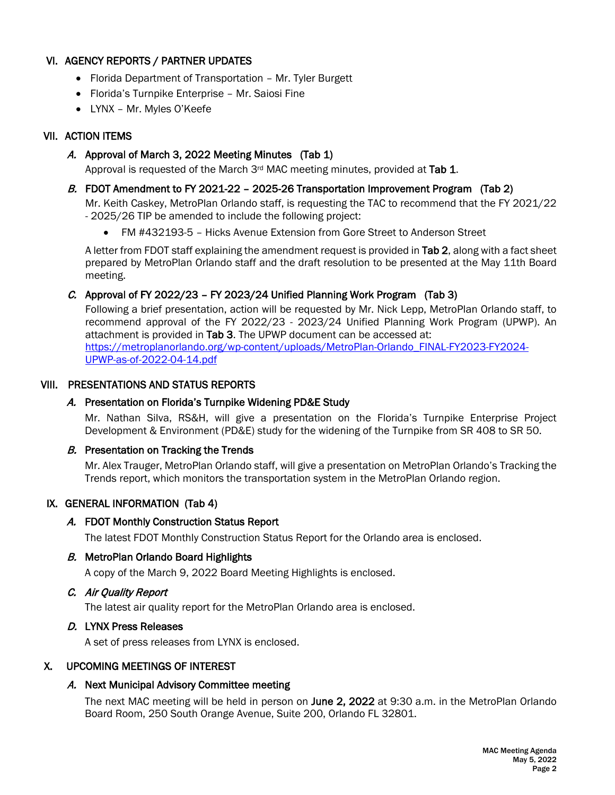# VI. AGENCY REPORTS / PARTNER UPDATES

- Florida Department of Transportation Mr. Tyler Burgett
- Florida's Turnpike Enterprise Mr. Saiosi Fine
- LYNX Mr. Myles O'Keefe

# VII. ACTION ITEMS

A. Approval of March 3, 2022 Meeting Minutes (Tab 1)

Approval is requested of the March  $3<sup>rd</sup>$  MAC meeting minutes, provided at Tab 1.

# B. FDOT Amendment to FY 2021-22 - 2025-26 Transportation Improvement Program (Tab 2)

Mr. Keith Caskey, MetroPlan Orlando staff, is requesting the TAC to recommend that the FY 2021/22 - 2025/26 TIP be amended to include the following project:

• FM #432193-5 – Hicks Avenue Extension from Gore Street to Anderson Street

A letter from FDOT staff explaining the amendment request is provided in Tab 2, along with a fact sheet prepared by MetroPlan Orlando staff and the draft resolution to be presented at the May 11th Board meeting.

# C. Approval of FY 2022/23 – FY 2023/24 Unified Planning Work Program (Tab 3)

Following a brief presentation, action will be requested by Mr. Nick Lepp, MetroPlan Orlando staff, to recommend approval of the FY 2022/23 - 2023/24 Unified Planning Work Program (UPWP). An attachment is provided in Tab 3. The UPWP document can be accessed at: [https://metroplanorlando.org/wp-content/uploads/MetroPlan-Orlando\\_FINAL-FY2023-FY2024-](https://metroplanorlando.org/wp-content/uploads/MetroPlan-Orlando_FINAL-FY2023-FY2024-UPWP-as-of-2022-04-14.pdf) [UPWP-as-of-2022-04-14.pdf](https://metroplanorlando.org/wp-content/uploads/MetroPlan-Orlando_FINAL-FY2023-FY2024-UPWP-as-of-2022-04-14.pdf)

# VIII. PRESENTATIONS AND STATUS REPORTS

# A. Presentation on Florida's Turnpike Widening PD&E Study

Mr. Nathan Silva, RS&H, will give a presentation on the Florida's Turnpike Enterprise Project Development & Environment (PD&E) study for the widening of the Turnpike from SR 408 to SR 50.

# B. Presentation on Tracking the Trends

Mr. Alex Trauger, MetroPlan Orlando staff, will give a presentation on MetroPlan Orlando's Tracking the Trends report, which monitors the transportation system in the MetroPlan Orlando region.

# IX. GENERAL INFORMATION (Tab 4)

#### A. FDOT Monthly Construction Status Report

The latest FDOT Monthly Construction Status Report for the Orlando area is enclosed.

#### B. MetroPlan Orlando Board Highlights

A copy of the March 9, 2022 Board Meeting Highlights is enclosed.

# C. Air Quality Report

The latest air quality report for the MetroPlan Orlando area is enclosed.

# D. LYNX Press Releases

A set of press releases from LYNX is enclosed.

# X. UPCOMING MEETINGS OF INTEREST

# A. Next Municipal Advisory Committee meeting

The next MAC meeting will be held in person on June 2, 2022 at 9:30 a.m. in the MetroPlan Orlando Board Room, 250 South Orange Avenue, Suite 200, Orlando FL 32801.